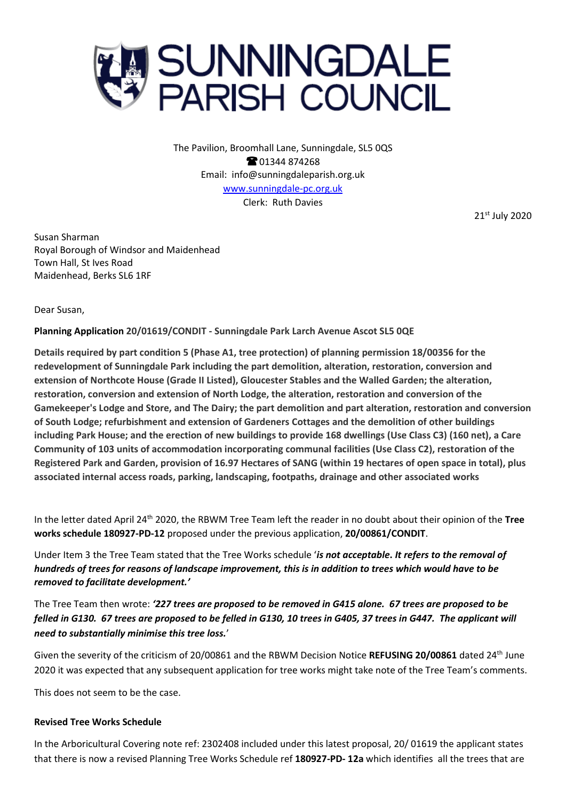

The Pavilion, Broomhall Lane, Sunningdale, SL5 0QS **@01344874268** Email: info@sunningdaleparish.org.uk [www.sunningdale-pc.org.uk](http://www.sunningdale-pc.org.uk/) Clerk: Ruth Davies

21st July 2020

Susan Sharman Royal Borough of Windsor and Maidenhead Town Hall, St Ives Road Maidenhead, Berks SL6 1RF

Dear Susan,

**Planning Application 20/01619/CONDIT - Sunningdale Park Larch Avenue Ascot SL5 0QE**

**Details required by part condition 5 (Phase A1, tree protection) of planning permission 18/00356 for the redevelopment of Sunningdale Park including the part demolition, alteration, restoration, conversion and extension of Northcote House (Grade II Listed), Gloucester Stables and the Walled Garden; the alteration, restoration, conversion and extension of North Lodge, the alteration, restoration and conversion of the Gamekeeper's Lodge and Store, and The Dairy; the part demolition and part alteration, restoration and conversion of South Lodge; refurbishment and extension of Gardeners Cottages and the demolition of other buildings including Park House; and the erection of new buildings to provide 168 dwellings (Use Class C3) (160 net), a Care Community of 103 units of accommodation incorporating communal facilities (Use Class C2), restoration of the Registered Park and Garden, provision of 16.97 Hectares of SANG (within 19 hectares of open space in total), plus associated internal access roads, parking, landscaping, footpaths, drainage and other associated works**

In the letter dated April 24th 2020, the RBWM Tree Team left the reader in no doubt about their opinion of the **Tree works schedule 180927-PD-12** proposed under the previous application, **20/00861/CONDIT**.

Under Item 3 the Tree Team stated that the Tree Works schedule '*is not acceptable***.** *It refers to the removal of hundreds of trees for reasons of landscape improvement, this is in addition to trees which would have to be removed to facilitate development.'*

The Tree Team then wrote: *'227 trees are proposed to be removed in G415 alone. 67 trees are proposed to be felled in G130. 67 trees are proposed to be felled in G130, 10 trees in G405, 37 trees in G447. The applicant will need to substantially minimise this tree loss.*'

Given the severity of the criticism of 20/00861 and the RBWM Decision Notice **REFUSING 20/00861** dated 24th June 2020 it was expected that any subsequent application for tree works might take note of the Tree Team's comments.

This does not seem to be the case.

## **Revised Tree Works Schedule**

In the Arboricultural Covering note ref: 2302408 included under this latest proposal, 20/ 01619 the applicant states that there is now a revised Planning Tree Works Schedule ref **180927-PD- 12a** which identifies all the trees that are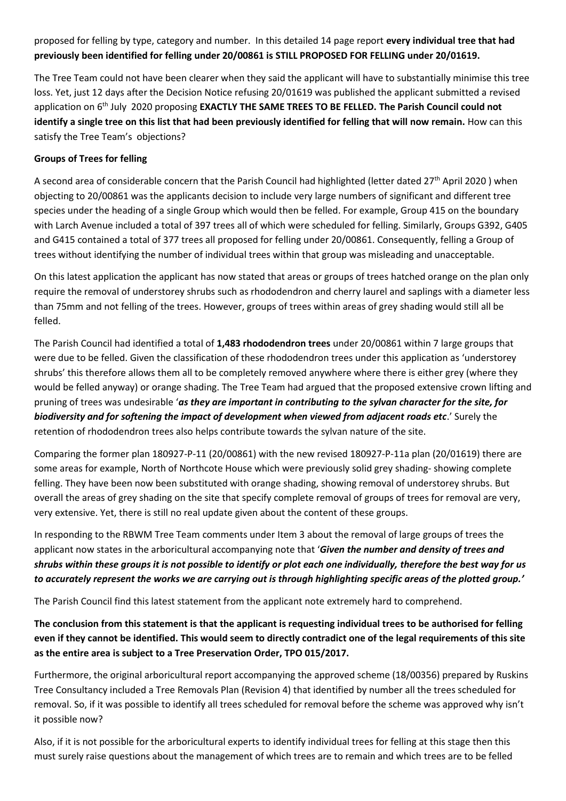proposed for felling by type, category and number. In this detailed 14 page report **every individual tree that had previously been identified for felling under 20/00861 is STILL PROPOSED FOR FELLING under 20/01619.**

The Tree Team could not have been clearer when they said the applicant will have to substantially minimise this tree loss. Yet, just 12 days after the Decision Notice refusing 20/01619 was published the applicant submitted a revised application on 6<sup>th</sup> July 2020 proposing **EXACTLY THE SAME TREES TO BE FELLED. The Parish Council could not identify a single tree on this list that had been previously identified for felling that will now remain.** How can this satisfy the Tree Team's objections?

## **Groups of Trees for felling**

A second area of considerable concern that the Parish Council had highlighted (letter dated 27<sup>th</sup> April 2020) when objecting to 20/00861 was the applicants decision to include very large numbers of significant and different tree species under the heading of a single Group which would then be felled. For example, Group 415 on the boundary with Larch Avenue included a total of 397 trees all of which were scheduled for felling. Similarly, Groups G392, G405 and G415 contained a total of 377 trees all proposed for felling under 20/00861. Consequently, felling a Group of trees without identifying the number of individual trees within that group was misleading and unacceptable.

On this latest application the applicant has now stated that areas or groups of trees hatched orange on the plan only require the removal of understorey shrubs such as rhododendron and cherry laurel and saplings with a diameter less than 75mm and not felling of the trees. However, groups of trees within areas of grey shading would still all be felled.

The Parish Council had identified a total of **1,483 rhododendron trees** under 20/00861 within 7 large groups that were due to be felled. Given the classification of these rhododendron trees under this application as 'understorey shrubs' this therefore allows them all to be completely removed anywhere where there is either grey (where they would be felled anyway) or orange shading. The Tree Team had argued that the proposed extensive crown lifting and pruning of trees was undesirable '*as they are important in contributing to the sylvan character for the site, for biodiversity and for softening the impact of development when viewed from adjacent roads etc*.' Surely the retention of rhododendron trees also helps contribute towards the sylvan nature of the site.

Comparing the former plan 180927-P-11 (20/00861) with the new revised 180927-P-11a plan (20/01619) there are some areas for example, North of Northcote House which were previously solid grey shading- showing complete felling. They have been now been substituted with orange shading, showing removal of understorey shrubs. But overall the areas of grey shading on the site that specify complete removal of groups of trees for removal are very, very extensive. Yet, there is still no real update given about the content of these groups.

In responding to the RBWM Tree Team comments under Item 3 about the removal of large groups of trees the applicant now states in the arboricultural accompanying note that '*Given the number and density of trees and shrubs within these groups it is not possible to identify or plot each one individually, therefore the best way for us to accurately represent the works we are carrying out is through highlighting specific areas of the plotted group.'*

The Parish Council find this latest statement from the applicant note extremely hard to comprehend.

**The conclusion from this statement is that the applicant is requesting individual trees to be authorised for felling even if they cannot be identified. This would seem to directly contradict one of the legal requirements of this site as the entire area is subject to a Tree Preservation Order, TPO 015/2017.** 

Furthermore, the original arboricultural report accompanying the approved scheme (18/00356) prepared by Ruskins Tree Consultancy included a Tree Removals Plan (Revision 4) that identified by number all the trees scheduled for removal. So, if it was possible to identify all trees scheduled for removal before the scheme was approved why isn't it possible now?

Also, if it is not possible for the arboricultural experts to identify individual trees for felling at this stage then this must surely raise questions about the management of which trees are to remain and which trees are to be felled